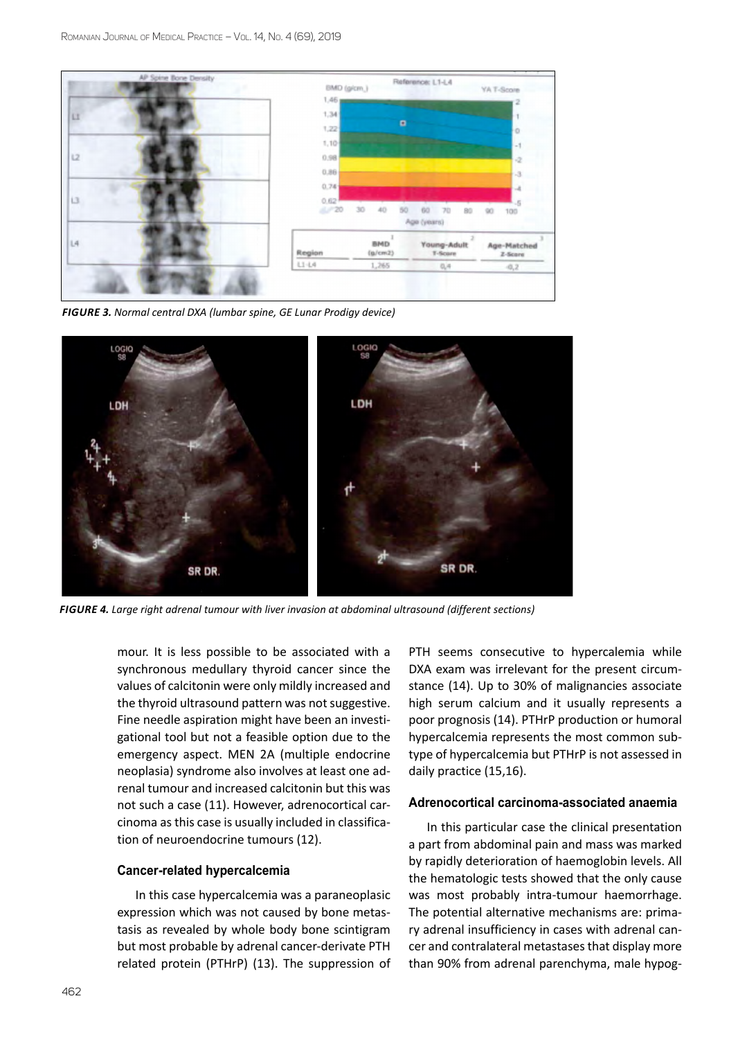

*Figure 3. Normal central DXA (lumbar spine, GE Lunar Prodigy device)*



*Figure 4. Large right adrenal tumour with liver invasion at abdominal ultrasound (different sections)*

mour. It is less possible to be associated with a synchronous medullary thyroid cancer since the values of calcitonin were only mildly increased and the thyroid ultrasound pattern was not suggestive. Fine needle aspiration might have been an investigational tool but not a feasible option due to the emergency aspect. MEN 2A (multiple endocrine neoplasia) syndrome also involves at least one adrenal tumour and increased calcitonin but this was not such a case (11). However, adrenocortical carcinoma as this case is usually included in classification of neuroendocrine tumours (12).

## **Cancer-related hypercalcemia**

In this case hypercalcemia was a paraneoplasic expression which was not caused by bone metastasis as revealed by whole body bone scintigram but most probable by adrenal cancer-derivate PTH related protein (PTHrP) (13). The suppression of PTH seems consecutive to hypercalemia while DXA exam was irrelevant for the present circumstance (14). Up to 30% of malignancies associate high serum calcium and it usually represents a poor prognosis (14). PTHrP production or humoral hypercalcemia represents the most common subtype of hypercalcemia but PTHrP is not assessed in daily practice (15,16).

#### **Adrenocortical carcinoma-associated anaemia**

In this particular case the clinical presentation a part from abdominal pain and mass was marked by rapidly deterioration of haemoglobin levels. All the hematologic tests showed that the only cause was most probably intra-tumour haemorrhage. The potential alternative mechanisms are: primary adrenal insufficiency in cases with adrenal cancer and contralateral metastases that display more than 90% from adrenal parenchyma, male hypog